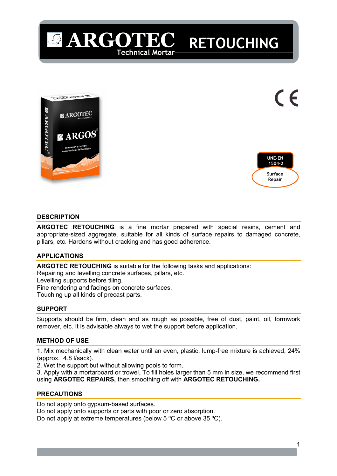



(  $\epsilon$ 

RETOUCHING

## **DESCRIPTION**

ARGOTEC RETOUCHING is a fine mortar prepared with special resins, cement and appropriate-sized aggregate, suitable for all kinds of surface repairs to damaged concrete, pillars, etc. Hardens without cracking and has good adherence.

# APPLICATIONS

ARGOTEC RETOUCHING is suitable for the following tasks and applications: Repairing and levelling concrete surfaces, pillars, etc.

Levelling supports before tiling.

Fine rendering and facings on concrete surfaces.

**ARGOTE** 

Technical Mortar

Touching up all kinds of precast parts.

# SUPPORT

Supports should be firm, clean and as rough as possible, free of dust, paint, oil, formwork remover, etc. It is advisable always to wet the support before application.

### METHOD OF USE

1. Mix mechanically with clean water until an even, plastic, lump-free mixture is achieved, 24% (approx. 4.8 l/sack).

2. Wet the support but without allowing pools to form.

3. Apply with a mortarboard or trowel. To fill holes larger than 5 mm in size, we recommend first using ARGOTEC REPAIRS, then smoothing off with ARGOTEC RETOUCHING.

# PRECAUTIONS

Do not apply onto gypsum-based surfaces. Do not apply onto supports or parts with poor or zero absorption. Do not apply at extreme temperatures (below 5 °C or above 35 °C).